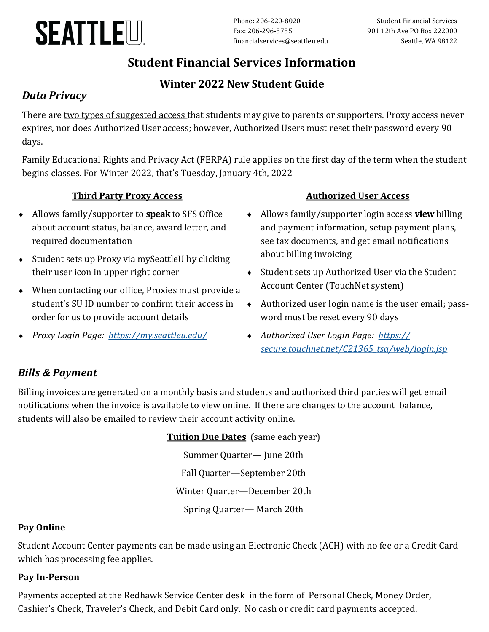

Phone: 206-220-8020 Student Financial Services Fax: 206-296-5755 901 12th Ave PO Box 222000 financialservices@seattleu.edu Seattle, WA 98122

# **Student Financial Services Information**

### **Winter 2022 New Student Guide**

### *Data Privacy*

There are two types of suggested access that students may give to parents or supporters. Proxy access never expires, nor does Authorized User access; however, Authorized Users must reset their password every 90 days.

Family Educational Rights and Privacy Act (FERPA) rule applies on the first day of the term when the student begins classes. For Winter 2022, that's Tuesday, January 4th, 2022

#### **Third Party Proxy Access**

- Allows family/supporter to **speak** to SFS Office about account status, balance, award letter, and required documentation
- Student sets up Proxy via mySeattleU by clicking their user icon in upper right corner
- When contacting our office, Proxies must provide a student's SU ID number to confirm their access in order for us to provide account details
- *Proxy Login Page: [https://my.seattleu.edu/](https://my.seattleu.edu/Student/Account/Login)*

#### **Authorized User Access**

- Allows family/supporter login access **view** billing and payment information, setup payment plans, see tax documents, and get email notifications about billing invoicing
- Student sets up Authorized User via the Student Account Center (TouchNet system)
- Authorized user login name is the user email; password must be reset every 90 days
- *Authorized User Login Page: [https://](https://secure.touchnet.net/C21365_tsa/web/login.jsp) [secure.touchnet.net/C21365\\_tsa/web/login.jsp](https://secure.touchnet.net/C21365_tsa/web/login.jsp)*

## *Bills & Payment*

Billing invoices are generated on a monthly basis and students and authorized third parties will get email notifications when the invoice is available to view online. If there are changes to the account balance, students will also be emailed to review their account activity online.

> **Tuition Due Dates** (same each year) Summer Quarter— June 20th Fall Quarter—September 20th Winter Quarter—December 20th Spring Quarter— March 20th

#### **Pay Online**

Student Account Center payments can be made using an Electronic Check (ACH) with no fee or a Credit Card which has processing fee applies.

#### **Pay In-Person**

Payments accepted at the Redhawk Service Center desk in the form of Personal Check, Money Order, Cashier's Check, Traveler's Check, and Debit Card only. No cash or credit card payments accepted.